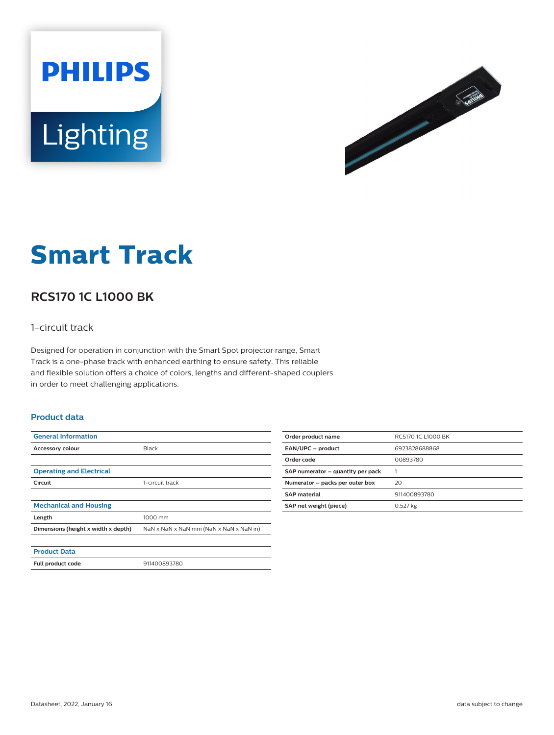



# **Smart Track**

# **RCS170 1C L1000 BK**

### 1-circuit track

Designed for operation in conjunction with the Smart Spot projector range, Smart Track is a one-phase track with enhanced earthing to ensure safety. This reliable and flexible solution offers a choice of colors, lengths and different-shaped couplers in order to meet challenging applications.

#### **Product data**

| <b>General Information</b>          |                                         |
|-------------------------------------|-----------------------------------------|
| Accessory colour                    | <b>Black</b>                            |
|                                     |                                         |
| <b>Operating and Electrical</b>     |                                         |
| Circuit                             | 1-circuit track                         |
|                                     |                                         |
| <b>Mechanical and Housing</b>       |                                         |
| Length                              | 1000 mm                                 |
| Dimensions (height x width x depth) | NaN x NaN x NaN mm (NaN x NaN x NaN in) |
|                                     |                                         |
| <b>Product Data</b>                 |                                         |
| Full product code                   | 911400893780                            |

| Order product name                | RCS170 1C L1000 BK |
|-----------------------------------|--------------------|
| EAN/UPC - product                 | 6923828688868      |
| Order code                        | 00893780           |
| SAP numerator - quantity per pack |                    |
| Numerator - packs per outer box   | 20                 |
| <b>SAP</b> material               | 911400893780       |
| SAP net weight (piece)            | $0.527$ kg         |